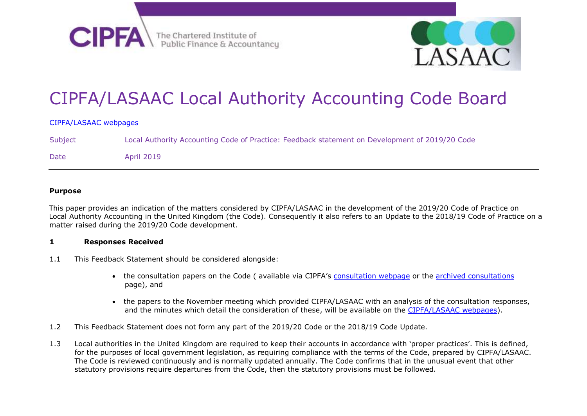



# CIPFA/LASAAC Local Authority Accounting Code Board

#### [CIPFA/LASAAC webpages](http://www.cipfa.org/policy-and-guidance/technical-panels-and-boards/cipfa-lasaac-local-authority-code-board)

Subject Local Authority Accounting Code of Practice: Feedback statement on Development of 2019/20 Code Date April 2019

#### **Purpose**

This paper provides an indication of the matters considered by CIPFA/LASAAC in the development of the 2019/20 Code of Practice on Local Authority Accounting in the United Kingdom (the Code). Consequently it also refers to an Update to the 2018/19 Code of Practice on a matter raised during the 2019/20 Code development.

#### **1 Responses Received**

- 1.1 This Feedback Statement should be considered alongside:
	- the consultation papers on the Code (available via CIPFA's [consultation webpage](https://www.cipfa.org/policy-and-guidance/consultations) or the [archived consultations](https://www.cipfa.org/policy-and-guidance/consultations-archive) page), and
	- the papers to the November meeting which provided CIPFA/LASAAC with an analysis of the consultation responses, and the minutes which detail the consideration of these, will be available on the [CIPFA/LASAAC webpages\)](https://www.cipfa.org/policy-and-guidance/technical-panels-and-boards/cipfa-lasaac-local-authority-code-board).
- 1.2 This Feedback Statement does not form any part of the 2019/20 Code or the 2018/19 Code Update.
- 1.3 Local authorities in the United Kingdom are required to keep their accounts in accordance with 'proper practices'. This is defined, for the purposes of local government legislation, as requiring compliance with the terms of the Code, prepared by CIPFA/LASAAC. The Code is reviewed continuously and is normally updated annually. The Code confirms that in the unusual event that other statutory provisions require departures from the Code, then the statutory provisions must be followed.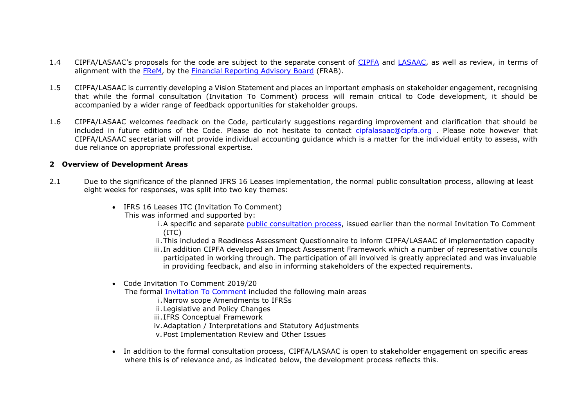- 1.4 CIPFA/LASAAC's proposals for the code are subject to the separate consent of [CIPFA](https://www.cipfa.org/) and [LASAAC,](https://www.cipfa.org/policy-and-guidance/technical-panels-and-boards/local-authority-scotland-accounts-advisory-committee) as well as review, in terms of alignment with the [FReM,](https://www.gov.uk/government/collections/government-financial-reporting-manual-frem) by the [Financial Reporting Advisory Board](https://www.gov.uk/government/groups/financial-reporting-advisory-board-frab) (FRAB).
- 1.5 CIPFA/LASAAC is currently developing a Vision Statement and places an important emphasis on stakeholder engagement, recognising that while the formal consultation (Invitation To Comment) process will remain critical to Code development, it should be accompanied by a wider range of feedback opportunities for stakeholder groups.
- 1.6 CIPFA/LASAAC welcomes feedback on the Code, particularly suggestions regarding improvement and clarification that should be included in future editions of the Code. Please do not hesitate to contact [cipfalasaac@cipfa.org](mailto:cipfalasaac@cipfa.org) . Please note however that CIPFA/LASAAC secretariat will not provide individual accounting guidance which is a matter for the individual entity to assess, with due reliance on appropriate professional expertise.

### **2 Overview of Development Areas**

- 2.1 Due to the significance of the planned IFRS 16 Leases implementation, the normal public consultation process, allowing at least eight weeks for responses, was split into two key themes:
	- IFRS 16 Leases ITC (Invitation To Comment)
		- This was informed and supported by:

i.A specific and separate [public consultation process,](https://www.cipfa.org/policy-and-guidance/consultations-archive/code-of-practice-on-local-authority-accounting-in-the-united-kingdom-consultation-on-ifrs-16-leases) issued earlier than the normal Invitation To Comment (ITC)

ii.This included a Readiness Assessment Questionnaire to inform CIPFA/LASAAC of implementation capacity iii. In addition CIPFA developed an Impact Assessment Framework which a number of representative councils participated in working through. The participation of all involved is greatly appreciated and was invaluable in providing feedback, and also in informing stakeholders of the expected requirements.

Code Invitation To Comment 2019/20

The formal [Invitation To Comment](https://www.cipfa.org/policy-and-guidance/consultations/code-of-practice-on-local-authority-accounting-in-the-united-kingdom-2019-20-invitation-to-comment) included the following main areas

i.Narrow scope Amendments to IFRSs

ii.Legislative and Policy Changes

iii.IFRS Conceptual Framework

iv.Adaptation / Interpretations and Statutory Adjustments

v.Post Implementation Review and Other Issues

 In addition to the formal consultation process, CIPFA/LASAAC is open to stakeholder engagement on specific areas where this is of relevance and, as indicated below, the development process reflects this.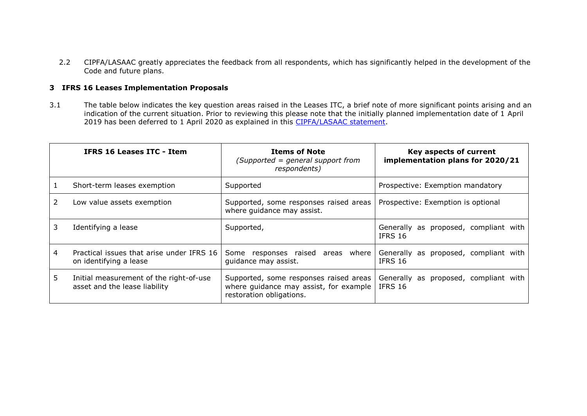2.2 CIPFA/LASAAC greatly appreciates the feedback from all respondents, which has significantly helped in the development of the Code and future plans.

## **3 IFRS 16 Leases Implementation Proposals**

3.1 The table below indicates the key question areas raised in the Leases ITC, a brief note of more significant points arising and an indication of the current situation. Prior to reviewing this please note that the initially planned implementation date of 1 April 2019 has been deferred to 1 April 2020 as explained in this [CIPFA/LASAAC statement.](https://www.cipfa.org/~/media/files/policy%20and%20guidance/boards/cipfa%20lasaac/cipfalasaac_statement_implementation_of_ifrs_16_1_april_2020_final.pdf?la=en)

|    | IFRS 16 Leases ITC - Item                                                | <b>Items of Note</b><br>(Supported = general support from<br>respondents)                                    | Key aspects of current<br>implementation plans for 2020/21 |
|----|--------------------------------------------------------------------------|--------------------------------------------------------------------------------------------------------------|------------------------------------------------------------|
|    | Short-term leases exemption                                              | Supported                                                                                                    | Prospective: Exemption mandatory                           |
|    | Low value assets exemption                                               | Supported, some responses raised areas<br>where guidance may assist.                                         | Prospective: Exemption is optional                         |
| 3. | Identifying a lease                                                      | Supported,                                                                                                   | Generally as proposed, compliant with<br>IFRS 16           |
| 4  | Practical issues that arise under IFRS 16<br>on identifying a lease      | Some responses raised areas where<br>guidance may assist.                                                    | Generally as proposed, compliant with<br><b>IFRS 16</b>    |
| 5  | Initial measurement of the right-of-use<br>asset and the lease liability | Supported, some responses raised areas<br>where guidance may assist, for example<br>restoration obligations. | Generally as proposed, compliant with<br>IFRS 16           |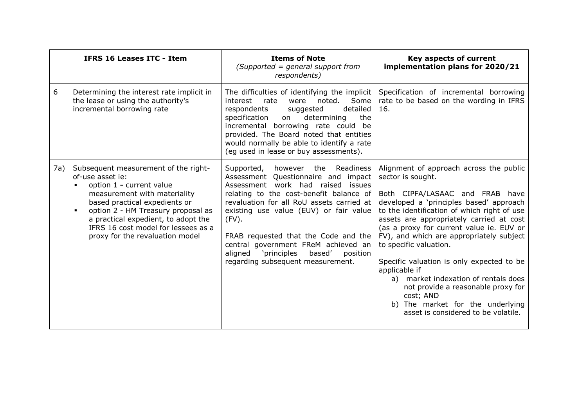|     | <b>IFRS 16 Leases ITC - Item</b>                                                                                                                                                                                                                                                                             | <b>Items of Note</b><br>$(Supported = general support from$<br>respondents)                                                                                                                                                                                                                                                                                                                                                    | Key aspects of current<br>implementation plans for 2020/21                                                                                                                                                                                                                                                                                                                                                                                                                                                                                                                                  |
|-----|--------------------------------------------------------------------------------------------------------------------------------------------------------------------------------------------------------------------------------------------------------------------------------------------------------------|--------------------------------------------------------------------------------------------------------------------------------------------------------------------------------------------------------------------------------------------------------------------------------------------------------------------------------------------------------------------------------------------------------------------------------|---------------------------------------------------------------------------------------------------------------------------------------------------------------------------------------------------------------------------------------------------------------------------------------------------------------------------------------------------------------------------------------------------------------------------------------------------------------------------------------------------------------------------------------------------------------------------------------------|
| 6   | Determining the interest rate implicit in<br>the lease or using the authority's<br>incremental borrowing rate                                                                                                                                                                                                | The difficulties of identifying the implicit<br>noted.<br>interest<br>rate<br>were<br>Some<br>detailed<br>respondents<br>suggested<br>specification<br>the<br>determining<br>on<br>incremental borrowing rate could be<br>provided. The Board noted that entities<br>would normally be able to identify a rate<br>(eg used in lease or buy assessments).                                                                       | Specification of incremental borrowing<br>rate to be based on the wording in IFRS<br>16.                                                                                                                                                                                                                                                                                                                                                                                                                                                                                                    |
| 7a) | Subsequent measurement of the right-<br>of-use asset ie:<br>option 1 - current value<br>measurement with materiality<br>based practical expedients or<br>option 2 - HM Treasury proposal as<br>a practical expedient, to adopt the<br>IFRS 16 cost model for lessees as a<br>proxy for the revaluation model | Supported, however the Readiness<br>Assessment Questionnaire and impact<br>Assessment work had raised issues<br>relating to the cost-benefit balance of<br>revaluation for all RoU assets carried at<br>existing use value (EUV) or fair value<br>$(FV)$ .<br>FRAB requested that the Code and the<br>central government FReM achieved an<br>aligned<br>'principles<br>based'<br>position<br>regarding subsequent measurement. | Alignment of approach across the public<br>sector is sought.<br>Both CIPFA/LASAAC and FRAB have<br>developed a 'principles based' approach<br>to the identification of which right of use<br>assets are appropriately carried at cost<br>(as a proxy for current value ie. EUV or<br>FV), and which are appropriately subject<br>to specific valuation.<br>Specific valuation is only expected to be<br>applicable if<br>a) market indexation of rentals does<br>not provide a reasonable proxy for<br>cost; AND<br>b) The market for the underlying<br>asset is considered to be volatile. |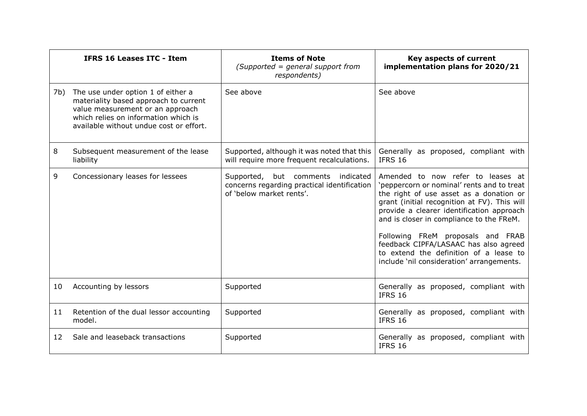|     | <b>IFRS 16 Leases ITC - Item</b>                                                                                                                                                                   | <b>Items of Note</b><br>$(Supported = general support from$<br>respondents)                                  | Key aspects of current<br>implementation plans for 2020/21                                                                                                                                                                                                                                                                                                                                                                               |
|-----|----------------------------------------------------------------------------------------------------------------------------------------------------------------------------------------------------|--------------------------------------------------------------------------------------------------------------|------------------------------------------------------------------------------------------------------------------------------------------------------------------------------------------------------------------------------------------------------------------------------------------------------------------------------------------------------------------------------------------------------------------------------------------|
| 7b) | The use under option 1 of either a<br>materiality based approach to current<br>value measurement or an approach<br>which relies on information which is<br>available without undue cost or effort. | See above                                                                                                    | See above                                                                                                                                                                                                                                                                                                                                                                                                                                |
| 8   | Subsequent measurement of the lease<br>liability                                                                                                                                                   | Supported, although it was noted that this<br>will require more frequent recalculations.                     | Generally as proposed, compliant with<br><b>IFRS 16</b>                                                                                                                                                                                                                                                                                                                                                                                  |
| 9   | Concessionary leases for lessees                                                                                                                                                                   | Supported, but comments indicated<br>concerns regarding practical identification<br>of 'below market rents'. | Amended to now refer to leases at<br>'peppercorn or nominal' rents and to treat<br>the right of use asset as a donation or<br>grant (initial recognition at FV). This will<br>provide a clearer identification approach<br>and is closer in compliance to the FReM.<br>Following FReM proposals and FRAB<br>feedback CIPFA/LASAAC has also agreed<br>to extend the definition of a lease to<br>include 'nil consideration' arrangements. |
| 10  | Accounting by lessors                                                                                                                                                                              | Supported                                                                                                    | Generally as proposed, compliant with<br>IFRS 16                                                                                                                                                                                                                                                                                                                                                                                         |
| 11  | Retention of the dual lessor accounting<br>model.                                                                                                                                                  | Supported                                                                                                    | Generally as proposed, compliant with<br>IFRS 16                                                                                                                                                                                                                                                                                                                                                                                         |
| 12  | Sale and leaseback transactions                                                                                                                                                                    | Supported                                                                                                    | Generally as proposed, compliant with<br>IFRS 16                                                                                                                                                                                                                                                                                                                                                                                         |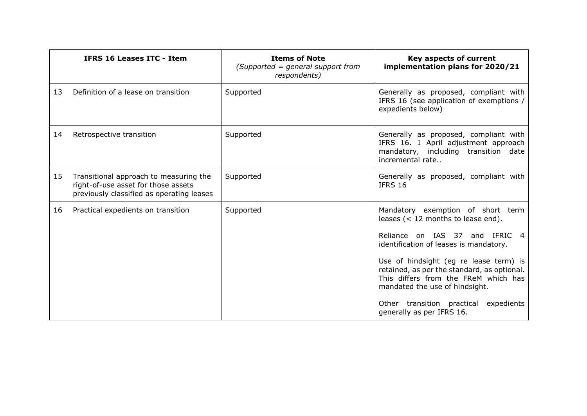|    | <b>IFRS 16 Leases ITC - Item</b>                                                                                           | <b>Items of Note</b><br>(Supported = general support from<br>respondents) | Key aspects of current<br>implementation plans for 2020/21                                                                                                                                                                                                                                                                                                                                                     |
|----|----------------------------------------------------------------------------------------------------------------------------|---------------------------------------------------------------------------|----------------------------------------------------------------------------------------------------------------------------------------------------------------------------------------------------------------------------------------------------------------------------------------------------------------------------------------------------------------------------------------------------------------|
| 13 | Definition of a lease on transition                                                                                        | Supported                                                                 | Generally as proposed, compliant with<br>IFRS 16 (see application of exemptions /<br>expedients below)                                                                                                                                                                                                                                                                                                         |
| 14 | Retrospective transition                                                                                                   | Supported                                                                 | Generally as proposed, compliant with<br>IFRS 16. 1 April adjustment approach<br>mandatory, including transition date<br>incremental rate                                                                                                                                                                                                                                                                      |
| 15 | Transitional approach to measuring the<br>right-of-use asset for those assets<br>previously classified as operating leases | Supported                                                                 | Generally as proposed, compliant with<br><b>IFRS 16</b>                                                                                                                                                                                                                                                                                                                                                        |
| 16 | Practical expedients on transition                                                                                         | Supported                                                                 | Mandatory exemption of short term<br>leases $(< 12$ months to lease end).<br>Reliance on IAS 37 and IFRIC<br>$\overline{4}$<br>identification of leases is mandatory.<br>Use of hindsight (eg re lease term) is<br>retained, as per the standard, as optional.<br>This differs from the FReM which has<br>mandated the use of hindsight.<br>Other transition practical expedients<br>generally as per IFRS 16. |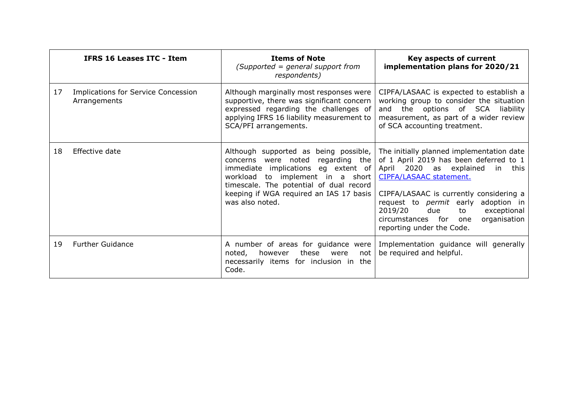|    | <b>IFRS 16 Leases ITC - Item</b>                    | <b>Items of Note</b><br>(Supported = general support from<br>respondents)                                                                                                                                                                                            | Key aspects of current<br>implementation plans for 2020/21                                                                                                                                                                                                                                                                                                       |
|----|-----------------------------------------------------|----------------------------------------------------------------------------------------------------------------------------------------------------------------------------------------------------------------------------------------------------------------------|------------------------------------------------------------------------------------------------------------------------------------------------------------------------------------------------------------------------------------------------------------------------------------------------------------------------------------------------------------------|
| 17 | Implications for Service Concession<br>Arrangements | Although marginally most responses were<br>supportive, there was significant concern<br>expressed regarding the challenges of<br>applying IFRS 16 liability measurement to<br>SCA/PFI arrangements.                                                                  | CIPFA/LASAAC is expected to establish a<br>working group to consider the situation<br>and the options of SCA liability<br>measurement, as part of a wider review<br>of SCA accounting treatment.                                                                                                                                                                 |
| 18 | Effective date                                      | Although supported as being possible,<br>were noted<br>regarding the<br>concerns<br>immediate implications eg extent of<br>workload to implement in a short<br>timescale. The potential of dual record<br>keeping if WGA required an IAS 17 basis<br>was also noted. | The initially planned implementation date<br>of 1 April 2019 has been deferred to 1<br>April 2020 as explained<br>in<br>this<br>CIPFA/LASAAC statement.<br>CIPFA/LASAAC is currently considering a<br>request to <i>permit</i> early adoption in<br>due<br>2019/20<br>exceptional<br>to<br>circumstances for<br>organisation<br>one<br>reporting under the Code. |
| 19 | <b>Further Guidance</b>                             | A number of areas for guidance were<br>these<br>noted,<br>however<br>not<br>were<br>necessarily items for inclusion in the<br>Code.                                                                                                                                  | Implementation guidance will generally<br>be required and helpful.                                                                                                                                                                                                                                                                                               |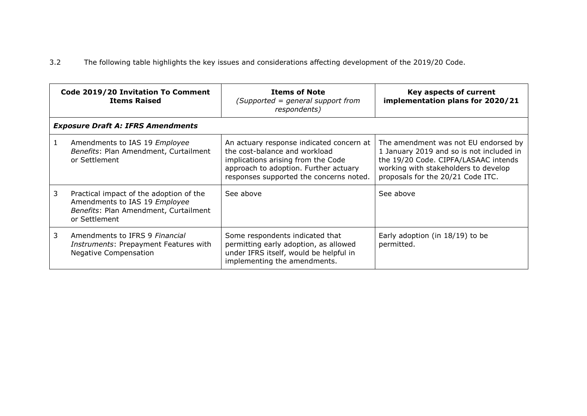# 3.2 The following table highlights the key issues and considerations affecting development of the 2019/20 Code.

|    | Code 2019/20 Invitation To Comment<br><b>Items Raised</b>                                                                          | <b>Items of Note</b><br>(Supported = general support from<br>respondents)                                                                                                                           | Key aspects of current<br>implementation plans for 2020/21                                                                                                                                            |
|----|------------------------------------------------------------------------------------------------------------------------------------|-----------------------------------------------------------------------------------------------------------------------------------------------------------------------------------------------------|-------------------------------------------------------------------------------------------------------------------------------------------------------------------------------------------------------|
|    | <b>Exposure Draft A: IFRS Amendments</b>                                                                                           |                                                                                                                                                                                                     |                                                                                                                                                                                                       |
|    | Amendments to IAS 19 Employee<br>Benefits: Plan Amendment, Curtailment<br>or Settlement                                            | An actuary response indicated concern at<br>the cost-balance and workload<br>implications arising from the Code<br>approach to adoption. Further actuary<br>responses supported the concerns noted. | The amendment was not EU endorsed by<br>1 January 2019 and so is not included in<br>the 19/20 Code. CIPFA/LASAAC intends<br>working with stakeholders to develop<br>proposals for the 20/21 Code ITC. |
| 3  | Practical impact of the adoption of the<br>Amendments to IAS 19 Employee<br>Benefits: Plan Amendment, Curtailment<br>or Settlement | See above                                                                                                                                                                                           | See above                                                                                                                                                                                             |
| 3. | Amendments to IFRS 9 Financial<br>Instruments: Prepayment Features with<br><b>Negative Compensation</b>                            | Some respondents indicated that<br>permitting early adoption, as allowed<br>under IFRS itself, would be helpful in<br>implementing the amendments.                                                  | Early adoption (in $18/19$ ) to be<br>permitted.                                                                                                                                                      |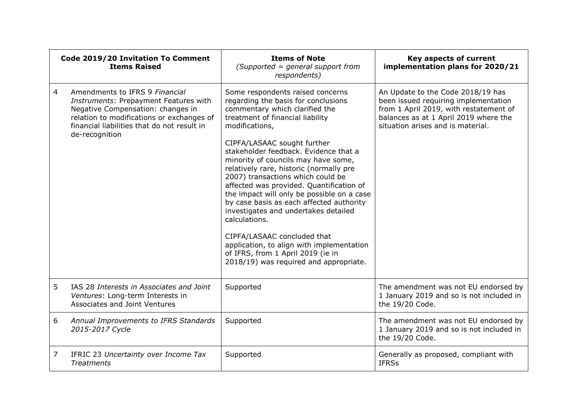| Code 2019/20 Invitation To Comment<br><b>Items Raised</b> |                                                                                                                                                                                                                            | <b>Items of Note</b><br>(Supported = general support from<br>respondents)                                                                                                                                                                                                                                                                                                                                                                                                                                                                                                                                                                                                                                                | Key aspects of current<br>implementation plans for 2020/21                                                                                                                                        |
|-----------------------------------------------------------|----------------------------------------------------------------------------------------------------------------------------------------------------------------------------------------------------------------------------|--------------------------------------------------------------------------------------------------------------------------------------------------------------------------------------------------------------------------------------------------------------------------------------------------------------------------------------------------------------------------------------------------------------------------------------------------------------------------------------------------------------------------------------------------------------------------------------------------------------------------------------------------------------------------------------------------------------------------|---------------------------------------------------------------------------------------------------------------------------------------------------------------------------------------------------|
| 4                                                         | Amendments to IFRS 9 Financial<br>Instruments: Prepayment Features with<br>Negative Compensation: changes in<br>relation to modifications or exchanges of<br>financial liabilities that do not result in<br>de-recognition | Some respondents raised concerns<br>regarding the basis for conclusions<br>commentary which clarified the<br>treatment of financial liability<br>modifications,<br>CIPFA/LASAAC sought further<br>stakeholder feedback. Evidence that a<br>minority of councils may have some,<br>relatively rare, historic (normally pre<br>2007) transactions which could be<br>affected was provided. Quantification of<br>the impact will only be possible on a case<br>by case basis as each affected authority<br>investigates and undertakes detailed<br>calculations.<br>CIPFA/LASAAC concluded that<br>application, to align with implementation<br>of IFRS, from 1 April 2019 (ie in<br>2018/19) was required and appropriate. | An Update to the Code 2018/19 has<br>been issued requiring implementation<br>from 1 April 2019, with restatement of<br>balances as at 1 April 2019 where the<br>situation arises and is material. |
| 5                                                         | IAS 28 Interests in Associates and Joint<br>Ventures: Long-term Interests in<br>Associates and Joint Ventures                                                                                                              | Supported                                                                                                                                                                                                                                                                                                                                                                                                                                                                                                                                                                                                                                                                                                                | The amendment was not EU endorsed by<br>1 January 2019 and so is not included in<br>the 19/20 Code.                                                                                               |
| 6                                                         | Annual Improvements to IFRS Standards<br>2015-2017 Cycle                                                                                                                                                                   | Supported                                                                                                                                                                                                                                                                                                                                                                                                                                                                                                                                                                                                                                                                                                                | The amendment was not EU endorsed by<br>1 January 2019 and so is not included in<br>the 19/20 Code.                                                                                               |
| 7                                                         | IFRIC 23 Uncertainty over Income Tax<br><b>Treatments</b>                                                                                                                                                                  | Supported                                                                                                                                                                                                                                                                                                                                                                                                                                                                                                                                                                                                                                                                                                                | Generally as proposed, compliant with<br><b>IFRSs</b>                                                                                                                                             |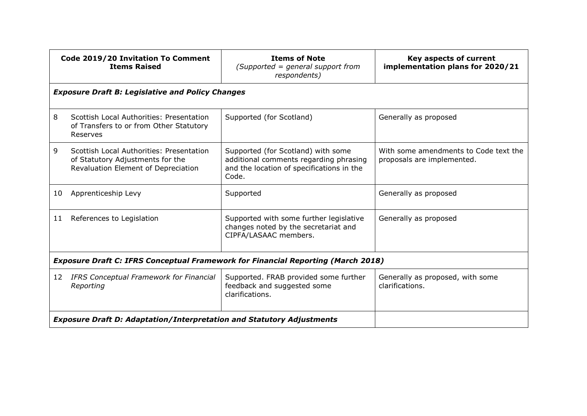|    | Code 2019/20 Invitation To Comment<br><b>Items Raised</b>                                                           | <b>Items of Note</b><br>$(Supported = general support from$<br>respondents)                                                        | Key aspects of current<br>implementation plans for 2020/21          |  |
|----|---------------------------------------------------------------------------------------------------------------------|------------------------------------------------------------------------------------------------------------------------------------|---------------------------------------------------------------------|--|
|    | <b>Exposure Draft B: Legislative and Policy Changes</b>                                                             |                                                                                                                                    |                                                                     |  |
| 8  | Scottish Local Authorities: Presentation<br>of Transfers to or from Other Statutory<br>Reserves                     | Supported (for Scotland)                                                                                                           | Generally as proposed                                               |  |
| 9  | Scottish Local Authorities: Presentation<br>of Statutory Adjustments for the<br>Revaluation Element of Depreciation | Supported (for Scotland) with some<br>additional comments regarding phrasing<br>and the location of specifications in the<br>Code. | With some amendments to Code text the<br>proposals are implemented. |  |
| 10 | Apprenticeship Levy                                                                                                 | Supported                                                                                                                          | Generally as proposed                                               |  |
| 11 | References to Legislation                                                                                           | Supported with some further legislative<br>changes noted by the secretariat and<br>CIPFA/LASAAC members.                           | Generally as proposed                                               |  |
|    | <b>Exposure Draft C: IFRS Conceptual Framework for Financial Reporting (March 2018)</b>                             |                                                                                                                                    |                                                                     |  |
| 12 | <b>IFRS Conceptual Framework for Financial</b><br>Reporting                                                         | Supported. FRAB provided some further<br>feedback and suggested some<br>clarifications.                                            | Generally as proposed, with some<br>clarifications.                 |  |
|    | <b>Exposure Draft D: Adaptation/Interpretation and Statutory Adjustments</b>                                        |                                                                                                                                    |                                                                     |  |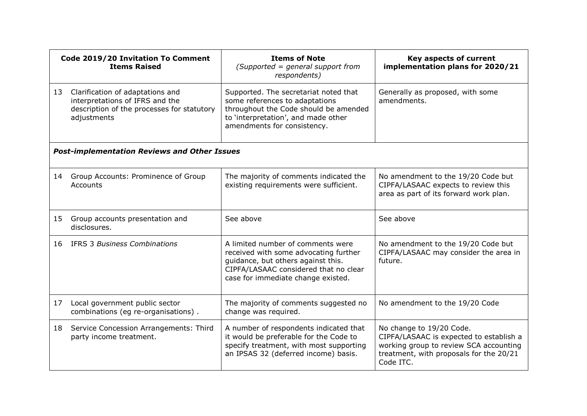| Code 2019/20 Invitation To Comment<br><b>Items Raised</b> |                                                                                                                                  | <b>Items of Note</b><br>$(Supported = general support from$<br>respondents)                                                                                                                     | Key aspects of current<br>implementation plans for 2020/21                                                                                                            |
|-----------------------------------------------------------|----------------------------------------------------------------------------------------------------------------------------------|-------------------------------------------------------------------------------------------------------------------------------------------------------------------------------------------------|-----------------------------------------------------------------------------------------------------------------------------------------------------------------------|
| 13                                                        | Clarification of adaptations and<br>interpretations of IFRS and the<br>description of the processes for statutory<br>adjustments | Supported. The secretariat noted that<br>some references to adaptations<br>throughout the Code should be amended<br>to 'interpretation', and made other<br>amendments for consistency.          | Generally as proposed, with some<br>amendments.                                                                                                                       |
|                                                           | <b>Post-implementation Reviews and Other Issues</b>                                                                              |                                                                                                                                                                                                 |                                                                                                                                                                       |
| 14                                                        | Group Accounts: Prominence of Group<br>Accounts                                                                                  | The majority of comments indicated the<br>existing requirements were sufficient.                                                                                                                | No amendment to the 19/20 Code but<br>CIPFA/LASAAC expects to review this<br>area as part of its forward work plan.                                                   |
| 15                                                        | Group accounts presentation and<br>disclosures.                                                                                  | See above                                                                                                                                                                                       | See above                                                                                                                                                             |
| 16                                                        | <b>IFRS 3 Business Combinations</b>                                                                                              | A limited number of comments were<br>received with some advocating further<br>guidance, but others against this.<br>CIPFA/LASAAC considered that no clear<br>case for immediate change existed. | No amendment to the 19/20 Code but<br>CIPFA/LASAAC may consider the area in<br>future.                                                                                |
| 17                                                        | Local government public sector<br>combinations (eg re-organisations).                                                            | The majority of comments suggested no<br>change was required.                                                                                                                                   | No amendment to the 19/20 Code                                                                                                                                        |
| 18                                                        | Service Concession Arrangements: Third<br>party income treatment.                                                                | A number of respondents indicated that<br>it would be preferable for the Code to<br>specify treatment, with most supporting<br>an IPSAS 32 (deferred income) basis.                             | No change to 19/20 Code.<br>CIPFA/LASAAC is expected to establish a<br>working group to review SCA accounting<br>treatment, with proposals for the 20/21<br>Code ITC. |